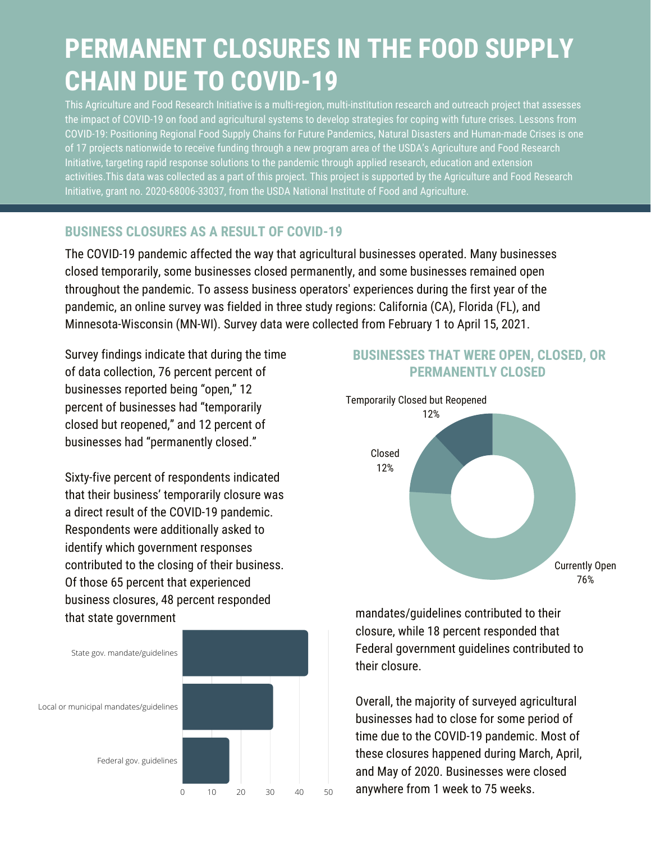# **PERMANENT CLOSURES IN THE FOOD SUPPLY CHAIN DUE TO COVID-19**

This Agriculture and Food Research Initiative is a multi-region, multi-institution research and outreach project that assesses the impact of COVID-19 on food and agricultural systems to develop strategies for coping with future crises. Lessons from COVID-19: Positioning Regional Food Supply Chains for Future Pandemics, Natural Disasters and Human-made Crises is one of 17 [projects](https://cris.nifa.usda.gov/cgi-bin/starfinder/0?path=fastlink1.txt&id=anon&pass=&search=(AN=1024156;1023886;1023941;1023601;1023636;1024148;1023963;1024476;1023801;1024141;1024254;1024248;1024308;1024145;1024252;1024486;1024378)&format=WEBTITLESGIY) nationwide to receive funding through a new [program](https://nifa.usda.gov/press-release/usda-nifa-grants-nearly-14-million-rapid-response-help-us-universities-find-scientific) area of the USDA's Agriculture and Food Research Initiative, targeting rapid response solutions to the pandemic through applied research, education and extension activities.This data was collected as a part of this project. This project is supported by the Agriculture and Food Research Initiative, grant no. 2020-68006-33037, from the USDA National Institute of Food and Agriculture.

### **BUSINESS CLOSURES AS A RESULT OF COVID-19**

The COVID-19 pandemic affected the way that agricultural businesses operated. Many businesses closed temporarily, some businesses closed permanently, and some businesses remained open throughout the pandemic. To assess business operators' experiences during the first year of the pandemic, an online survey was fielded in three study regions: California (CA), Florida (FL), and Minnesota-Wisconsin (MN-WI). Survey data were collected from February 1 to April 15, 2021.

Survey findings indicate that during the time of data collection, 76 percent percent of businesses reported being "open," 12 percent of businesses had "temporarily closed but reopened," and 12 percent of businesses had "permanently closed."

Sixty-five percent of respondents indicated that their business' temporarily closure was a direct result of the COVID-19 pandemic. Respondents were additionally asked to identify which government responses contributed to the closing of their business. Of those 65 percent that experienced business closures, 48 percent responded that state government mandates/guidelines contributed to their



## **BUSINESSES THAT WERE OPEN, CLOSED, OR PERMANENTLY CLOSED**



closure, while 18 percent responded that Federal government guidelines contributed to their closure.

Overall, the majority of surveyed agricultural businesses had to close for some period of time due to the COVID-19 pandemic. Most of these closures happened during March, April, and May of 2020. Businesses were closed  $\overline{0}$   $\overline{10}$   $\overline{20}$   $\overline{30}$   $\overline{40}$   $\overline{50}$  anywhere from 1 week to 75 weeks.